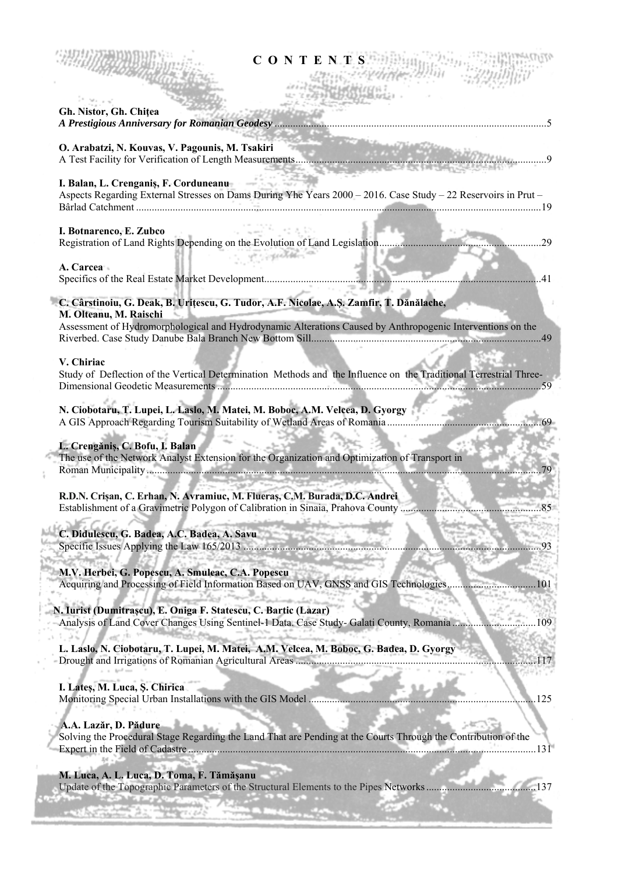| <b>CONTENTS</b>                                                                                                                                                |                |
|----------------------------------------------------------------------------------------------------------------------------------------------------------------|----------------|
| Gh. Nistor, Gh. Chitea                                                                                                                                         |                |
| O. Arabatzi, N. Kouvas, V. Pagounis, M. Tsakiri                                                                                                                |                |
|                                                                                                                                                                |                |
| I. Balan, L. Crenganis, F. Corduneanu<br>Aspects Regarding External Stresses on Dams During Yhe Years 2000 - 2016. Case Study - 22 Reservoirs in Prut -        |                |
| I. Botnarenco, E. Zubco<br>at conceller                                                                                                                        |                |
| A. Carcea                                                                                                                                                      | $\parallel$ 41 |
| C. Cârstinoiu, G. Deak, B. Urițescu, G. Tudor, A.F. Nicolae, A.Ş. Zamfir, T. Dănălache,<br>M. Olteanu, M. Raischi                                              |                |
| Assessment of Hydromorphological and Hydrodynamic Alterations Caused by Anthropogenic Interventions on the                                                     |                |
| V. Chiriac<br>Study of Deflection of the Vertical Determination Methods and the Influence on the Traditional Terrestrial Three-                                |                |
| N. Ciobotaru, T. Lupei, L. Laslo, M. Matei, M. Boboc, A.M. Velcea, D. Gyorgy                                                                                   |                |
| L. Crengăniș, C. Bofu, I. Balan<br>The use of the Network Analyst Extension for the Organization and Optimization of Transport in<br>and the state of the con- |                |
| R.D.N. Crișan, C. Erhan, N. Avramiuc, M. Flueraș, C.M. Burada, D.C. Andrei                                                                                     |                |
| C. Didulescu, G. Badea, A.C. Badea, A. Savu                                                                                                                    |                |
| M.V. Herbei, G. Popescu, A. Smuleac, C.A. Popescu<br>Acquiring and Processing of Field Information Based on UAV, GNSS and GIS Technologies                     | 101            |
| N. Iurist (Dumitrașcu), E. Oniga F. Statescu, C. Bartic (Lazar)<br>Analysis of Land Cover Changes Using Sentinel-1 Data. Case Study- Galati County, Romania    | 109            |
| L. Laslo, N. Ciobotaru, T. Lupei, M. Matei, A.M. Velcea, M. Boboc, G. Badea, D. Gyorgy                                                                         | 117            |
| I. Lates, M. Luca, S. Chirica<br>Monitoring Special Urban Installations with the GIS Model                                                                     | 125            |
| A.A. Lazăr, D. Pădure<br>Solving the Procedural Stage Regarding the Land That are Pending at the Courts Through the Contribution of the                        |                |
| M. Luca, A. L. Luca, D. Toma, F. Tămășanu<br>Update of the Topographic Parameters of the Structural Elements to the Pipes Networks.                            |                |
|                                                                                                                                                                |                |

 $\,$